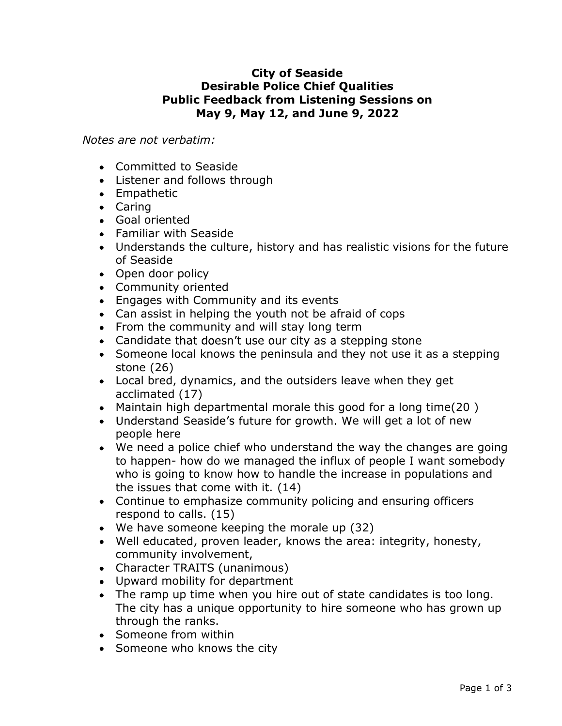## City of Seaside Desirable Police Chief Qualities Public Feedback from Listening Sessions on May 9, May 12, and June 9, 2022

Notes are not verbatim:

- Committed to Seaside
- Listener and follows through
- Empathetic
- Caring
- Goal oriented
- Familiar with Seaside
- Understands the culture, history and has realistic visions for the future of Seaside
- Open door policy
- Community oriented
- Engages with Community and its events
- Can assist in helping the youth not be afraid of cops
- From the community and will stay long term
- Candidate that doesn't use our city as a stepping stone
- Someone local knows the peninsula and they not use it as a stepping stone (26)
- Local bred, dynamics, and the outsiders leave when they get acclimated (17)
- Maintain high departmental morale this good for a long time(20 )
- Understand Seaside's future for growth. We will get a lot of new people here
- are going<br>imebody<br>is and<br>ers<br>sty,<br>blong.<br>cown up<br>Page 1 of 3 We need a police chief who understand the way the changes are going to happen- how do we managed the influx of people I want somebody who is going to know how to handle the increase in populations and the issues that come with it. (14)
- Continue to emphasize community policing and ensuring officers respond to calls. (15)
- We have someone keeping the morale up (32)
- Well educated, proven leader, knows the area: integrity, honesty, community involvement,
- Character TRAITS (unanimous)
- Upward mobility for department
- The ramp up time when you hire out of state candidates is too long. The city has a unique opportunity to hire someone who has grown up through the ranks.
- Someone from within
- Someone who knows the city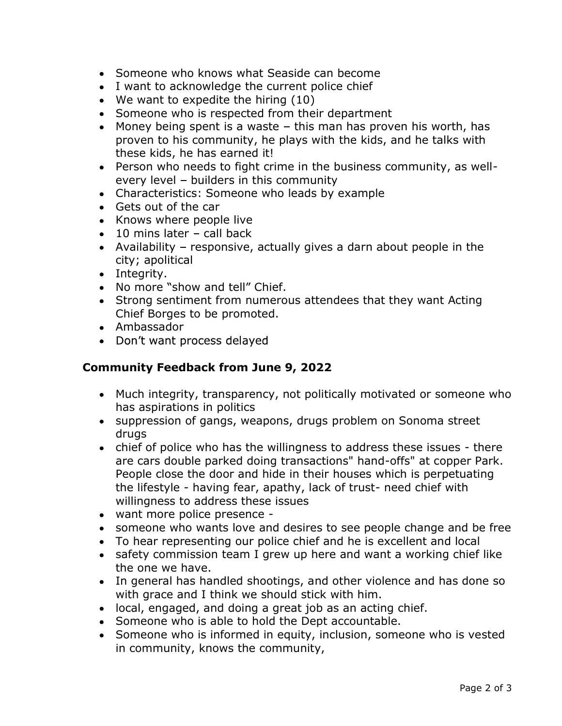- Someone who knows what Seaside can become
- I want to acknowledge the current police chief
- We want to expedite the hiring (10)
- Someone who is respected from their department
- Money being spent is a waste  $-$  this man has proven his worth, has proven to his community, he plays with the kids, and he talks with these kids, he has earned it!
- Person who needs to fight crime in the business community, as wellevery level  $-$  builders in this community
- Characteristics: Someone who leads by example
- Gets out of the car
- Knows where people live
- $\bullet$  10 mins later call back
- Availability  $-$  responsive, actually gives a darn about people in the city; apolitical
- Integrity.
- No more "show and tell" Chief.
- Strong sentiment from numerous attendees that they want Acting Chief Borges to be promoted.
- Ambassador
- Don't want process delayed

## Community Feedback from June 9, 2022

- Much integrity, transparency, not politically motivated or someone who has aspirations in politics
- suppression of gangs, weapons, drugs problem on Sonoma street drugs
- France er Park.<br>
uating<br>
th<br>
d be free<br>
ocal<br>
hief like<br>
done so<br>
s vested<br>
Page 2 of 3 • chief of police who has the willingness to address these issues - there are cars double parked doing transactions" hand-offs" at copper Park. People close the door and hide in their houses which is perpetuating the lifestyle - having fear, apathy, lack of trust- need chief with willingness to address these issues
- want more police presence -
- someone who wants love and desires to see people change and be free
- To hear representing our police chief and he is excellent and local
- safety commission team I grew up here and want a working chief like the one we have.
- In general has handled shootings, and other violence and has done so with grace and I think we should stick with him.
- local, engaged, and doing a great job as an acting chief.
- Someone who is able to hold the Dept accountable.
- Someone who is informed in equity, inclusion, someone who is vested in community, knows the community,